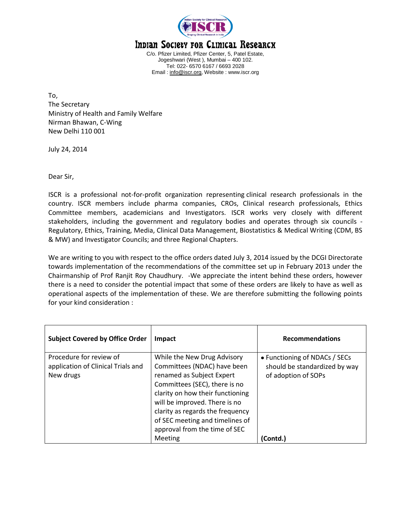

## Indian Society for Clinical Research

C/o. Pfizer Limited, Pfizer Center, 5, Patel Estate, Jogeshwari (West ), Mumbai – 400 102. Tel: 022- 6570 6167 / 6693 2028 Email : [info@iscr.org,](mailto:info@iscr.org) Website : www.iscr.org

To, The Secretary Ministry of Health and Family Welfare Nirman Bhawan, C-Wing New Delhi 110 001

July 24, 2014

Dear Sir,

ISCR is a professional not-for-profit organization representing clinical research professionals in the country. ISCR members include pharma companies, CROs, Clinical research professionals, Ethics Committee members, academicians and Investigators. ISCR works very closely with different stakeholders, including the government and regulatory bodies and operates through six councils - Regulatory, Ethics, Training, Media, Clinical Data Management, Biostatistics & Medical Writing (CDM, BS & MW) and Investigator Councils; and three Regional Chapters.

We are writing to you with respect to the office orders dated July 3, 2014 issued by the DCGI Directorate towards implementation of the recommendations of the committee set up in February 2013 under the Chairmanship of Prof Ranjit Roy Chaudhury. -We appreciate the intent behind these orders, however there is a need to consider the potential impact that some of these orders are likely to have as well as operational aspects of the implementation of these. We are therefore submitting the following points for your kind consideration :

| <b>Subject Covered by Office Order</b>                                     | Impact                                                                                                                                                                                                                                                                                                | <b>Recommendations</b>                                                                |
|----------------------------------------------------------------------------|-------------------------------------------------------------------------------------------------------------------------------------------------------------------------------------------------------------------------------------------------------------------------------------------------------|---------------------------------------------------------------------------------------|
| Procedure for review of<br>application of Clinical Trials and<br>New drugs | While the New Drug Advisory<br>Committees (NDAC) have been<br>renamed as Subject Expert<br>Committees (SEC), there is no<br>clarity on how their functioning<br>will be improved. There is no<br>clarity as regards the frequency<br>of SEC meeting and timelines of<br>approval from the time of SEC | • Functioning of NDACs / SECs<br>should be standardized by way<br>of adoption of SOPs |
|                                                                            | Meeting                                                                                                                                                                                                                                                                                               | (Contd.)                                                                              |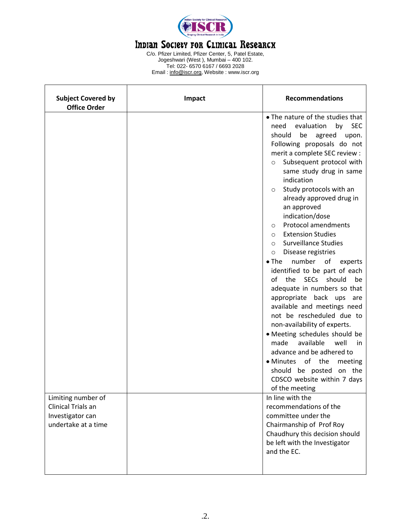

## Indian Society for Clinical Researcx

C/o. Pfizer Limited, Pfizer Center, 5, Patel Estate, Jogeshwari (West ), Mumbai – 400 102. Tel: 022- 6570 6167 / 6693 2028 Email : [info@iscr.org,](mailto:info@iscr.org) Website : www.iscr.org

| <b>Subject Covered by</b><br><b>Office Order</b>                                    | Impact | <b>Recommendations</b>                                                                                                                                                                                                                                                                                                                                                                                                                                                                                                                                                                                                                                                                                                                                                                                                                                                                                                                                                                                     |  |
|-------------------------------------------------------------------------------------|--------|------------------------------------------------------------------------------------------------------------------------------------------------------------------------------------------------------------------------------------------------------------------------------------------------------------------------------------------------------------------------------------------------------------------------------------------------------------------------------------------------------------------------------------------------------------------------------------------------------------------------------------------------------------------------------------------------------------------------------------------------------------------------------------------------------------------------------------------------------------------------------------------------------------------------------------------------------------------------------------------------------------|--|
|                                                                                     |        | . The nature of the studies that<br>need<br>evaluation<br>by<br><b>SEC</b><br>be<br>agreed upon.<br>should<br>Following proposals do not<br>merit a complete SEC review :<br>Subsequent protocol with<br>$\circ$<br>same study drug in same<br>indication<br>Study protocols with an<br>$\circ$<br>already approved drug in<br>an approved<br>indication/dose<br><b>Protocol amendments</b><br>$\circ$<br><b>Extension Studies</b><br>$\circ$<br><b>Surveillance Studies</b><br>$\circ$<br>Disease registries<br>$\circ$<br>number of<br>$\bullet$ The<br>experts<br>identified to be part of each<br>of<br>the<br>SECs should<br>be<br>adequate in numbers so that<br>appropriate back ups<br>are<br>available and meetings need<br>not be rescheduled due to<br>non-availability of experts.<br>• Meeting schedules should be<br>available<br>well<br>made<br>in<br>advance and be adhered to<br>• Minutes of the<br>meeting<br>should be posted on the<br>CDSCO website within 7 days<br>of the meeting |  |
| Limiting number of<br>Clinical Trials an<br>Investigator can<br>undertake at a time |        | In line with the<br>recommendations of the<br>committee under the<br>Chairmanship of Prof Roy<br>Chaudhury this decision should<br>be left with the Investigator<br>and the EC.                                                                                                                                                                                                                                                                                                                                                                                                                                                                                                                                                                                                                                                                                                                                                                                                                            |  |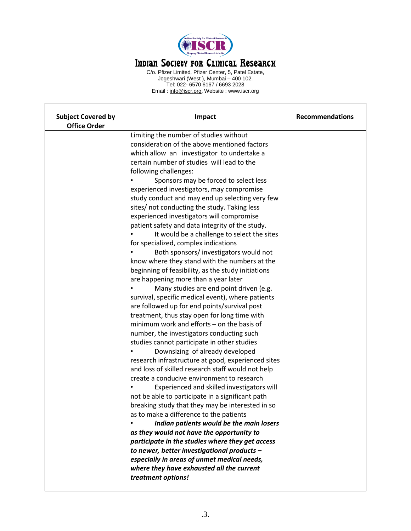

## Indian Society for Clinical Researcx

C/o. Pfizer Limited, Pfizer Center, 5, Patel Estate, Jogeshwari (West ), Mumbai – 400 102. Tel: 022- 6570 6167 / 6693 2028 Email : [info@iscr.org,](mailto:info@iscr.org) Website : www.iscr.org

| <b>Subject Covered by</b><br><b>Office Order</b> | <b>Impact</b>                                      | <b>Recommendations</b> |
|--------------------------------------------------|----------------------------------------------------|------------------------|
|                                                  | Limiting the number of studies without             |                        |
|                                                  | consideration of the above mentioned factors       |                        |
|                                                  | which allow an investigator to undertake a         |                        |
|                                                  | certain number of studies will lead to the         |                        |
|                                                  | following challenges:                              |                        |
|                                                  | Sponsors may be forced to select less              |                        |
|                                                  | experienced investigators, may compromise          |                        |
|                                                  | study conduct and may end up selecting very few    |                        |
|                                                  | sites/ not conducting the study. Taking less       |                        |
|                                                  | experienced investigators will compromise          |                        |
|                                                  | patient safety and data integrity of the study.    |                        |
|                                                  | It would be a challenge to select the sites        |                        |
|                                                  | for specialized, complex indications               |                        |
|                                                  | Both sponsors/ investigators would not             |                        |
|                                                  | know where they stand with the numbers at the      |                        |
|                                                  | beginning of feasibility, as the study initiations |                        |
|                                                  | are happening more than a year later               |                        |
|                                                  | Many studies are end point driven (e.g.            |                        |
|                                                  | survival, specific medical event), where patients  |                        |
|                                                  | are followed up for end points/survival post       |                        |
|                                                  | treatment, thus stay open for long time with       |                        |
|                                                  | minimum work and efforts $-$ on the basis of       |                        |
|                                                  | number, the investigators conducting such          |                        |
|                                                  | studies cannot participate in other studies        |                        |
|                                                  | Downsizing of already developed                    |                        |
|                                                  | research infrastructure at good, experienced sites |                        |
|                                                  | and loss of skilled research staff would not help  |                        |
|                                                  | create a conducive environment to research         |                        |
|                                                  | Experienced and skilled investigators will         |                        |
|                                                  | not be able to participate in a significant path   |                        |
|                                                  | breaking study that they may be interested in so   |                        |
|                                                  | as to make a difference to the patients            |                        |
|                                                  | Indian patients would be the main losers           |                        |
|                                                  | as they would not have the opportunity to          |                        |
| participate in the studies where they get access |                                                    |                        |
|                                                  | to newer, better investigational products -        |                        |
|                                                  | especially in areas of unmet medical needs,        |                        |
|                                                  | where they have exhausted all the current          |                        |
|                                                  | treatment options!                                 |                        |
|                                                  |                                                    |                        |